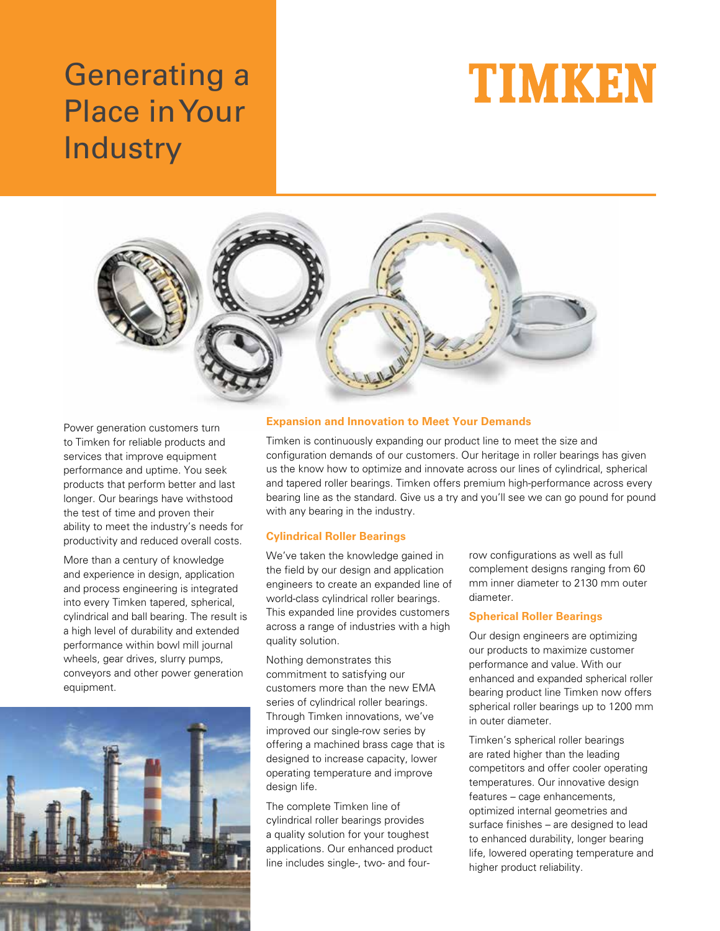# Generating a Place in Your **Industry**





Power generation customers turn to Timken for reliable products and services that improve equipment performance and uptime. You seek products that perform better and last longer. Our bearings have withstood the test of time and proven their ability to meet the industry's needs for productivity and reduced overall costs.

More than a century of knowledge and experience in design, application and process engineering is integrated into every Timken tapered, spherical, cylindrical and ball bearing. The result is a high level of durability and extended performance within bowl mill journal wheels, gear drives, slurry pumps, conveyors and other power generation equipment.



## **Expansion and Innovation to Meet Your Demands**

Timken is continuously expanding our product line to meet the size and configuration demands of our customers. Our heritage in roller bearings has given us the know how to optimize and innovate across our lines of cylindrical, spherical and tapered roller bearings. Timken offers premium high-performance across every bearing line as the standard. Give us a try and you'll see we can go pound for pound with any bearing in the industry.

## **Cylindrical Roller Bearings**

We've taken the knowledge gained in the field by our design and application engineers to create an expanded line of world-class cylindrical roller bearings. This expanded line provides customers across a range of industries with a high quality solution.

Nothing demonstrates this commitment to satisfying our customers more than the new EMA series of cylindrical roller bearings. Through Timken innovations, we've improved our single-row series by offering a machined brass cage that is designed to increase capacity, lower operating temperature and improve design life.

The complete Timken line of cylindrical roller bearings provides a quality solution for your toughest applications. Our enhanced product line includes single-, two- and four-

row configurations as well as full complement designs ranging from 60 mm inner diameter to 2130 mm outer diameter.

## **Spherical Roller Bearings**

Our design engineers are optimizing our products to maximize customer performance and value. With our enhanced and expanded spherical roller bearing product line Timken now offers spherical roller bearings up to 1200 mm in outer diameter.

Timken's spherical roller bearings are rated higher than the leading competitors and offer cooler operating temperatures. Our innovative design features – cage enhancements, optimized internal geometries and surface finishes – are designed to lead to enhanced durability, longer bearing life, lowered operating temperature and higher product reliability.